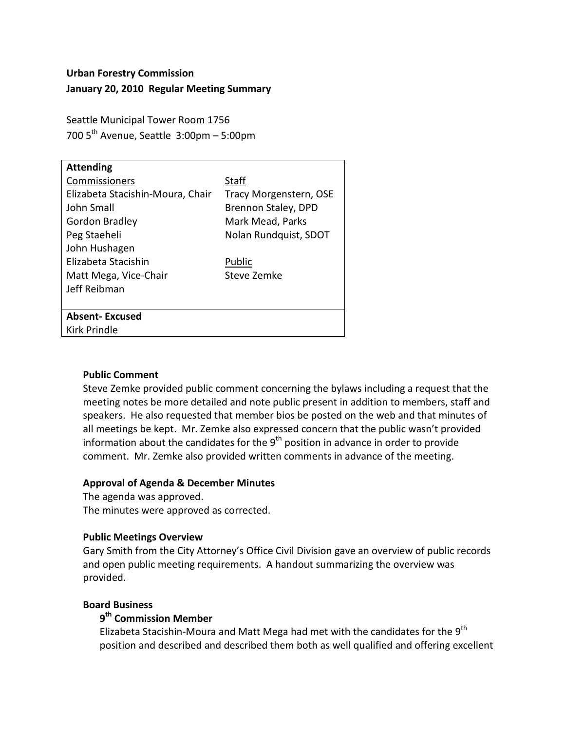# **Urban Forestry Commission January 20, 2010 Regular Meeting Summary**

Seattle Municipal Tower Room 1756 700  $5<sup>th</sup>$  Avenue, Seattle 3:00pm – 5:00pm

| <b>Attending</b>                 |                        |
|----------------------------------|------------------------|
| Commissioners                    | <b>Staff</b>           |
| Elizabeta Stacishin-Moura, Chair | Tracy Morgenstern, OSE |
| John Small                       | Brennon Staley, DPD    |
| <b>Gordon Bradley</b>            | Mark Mead, Parks       |
| Peg Staeheli                     | Nolan Rundquist, SDOT  |
| John Hushagen                    |                        |
| Elizabeta Stacishin              | Public                 |
| Matt Mega, Vice-Chair            | Steve Zemke            |
| Jeff Reibman                     |                        |
|                                  |                        |
| <b>Absent-Excused</b>            |                        |
| Kirk Prindle                     |                        |
|                                  |                        |

### **Public Comment**

Steve Zemke provided public comment concerning the bylaws including a request that the meeting notes be more detailed and note public present in addition to members, staff and speakers. He also requested that member bios be posted on the web and that minutes of all meetings be kept. Mr. Zemke also expressed concern that the public wasn't provided information about the candidates for the  $9<sup>th</sup>$  position in advance in order to provide comment. Mr. Zemke also provided written comments in advance of the meeting.

### **Approval of Agenda & December Minutes**

The agenda was approved.

The minutes were approved as corrected.

### **Public Meetings Overview**

Gary Smith from the City Attorney's Office Civil Division gave an overview of public records and open public meeting requirements. A handout summarizing the overview was provided.

### **Board Business**

### **9th Commission Member**

Elizabeta Stacishin-Moura and Matt Mega had met with the candidates for the  $9^{th}$ position and described and described them both as well qualified and offering excellent